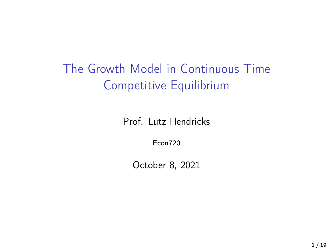The Growth Model in Continuous Time Competitive Equilibrium

Prof. Lutz Hendricks

Econ720

October 8, 2021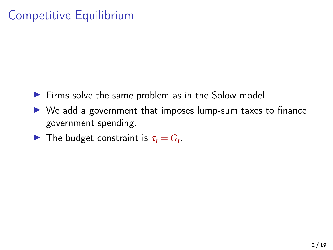# Competitive Equilibrium

- $\blacktriangleright$  Firms solve the same problem as in the Solow model.
- $\triangleright$  We add a government that imposes lump-sum taxes to finance government spending.
- **I** The budget constraint is  $\tau_t = G_t$ .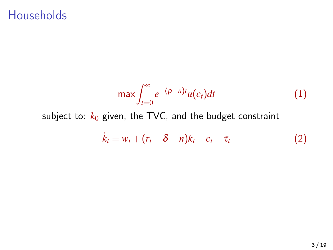#### **Households**

$$
\max \int_{t=0}^{\infty} e^{-(\rho - n)t} u(c_t) dt
$$
 (1)

subject to:  $k_0$  given, the TVC, and the budget constraint

$$
\dot{k}_t = w_t + (r_t - \delta - n)k_t - c_t - \tau_t \tag{2}
$$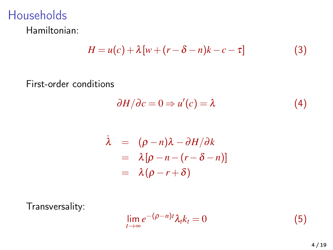# Households

Hamiltonian:

$$
H = u(c) + \lambda [w + (r - \delta - n)k - c - \tau]
$$
 (3)

First-order conditions

$$
\frac{\partial H}{\partial c} = 0 \Rightarrow u'(c) = \lambda \tag{4}
$$

$$
\begin{array}{rcl}\n\lambda & = & (\rho - n)\lambda - \partial H/\partial k \\
& = & \lambda [\rho - n - (r - \delta - n)] \\
& = & \lambda (\rho - r + \delta)\n\end{array}
$$

Transversality:

$$
\lim_{t \to \infty} e^{-(\rho - n)t} \lambda_t k_t = 0 \tag{5}
$$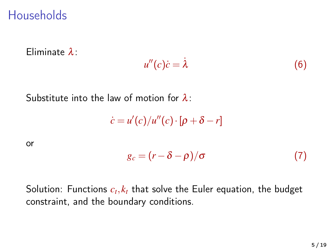#### **Households**

Eliminate λ:

$$
u''(c)\dot{c} = \dot{\lambda} \tag{6}
$$

Substitute into the law of motion for  $\lambda$ :

 $\dot{c} = u'(c)/u''(c) \cdot [\rho + \delta - r]$ 

or

$$
g_c = (r - \delta - \rho)/\sigma \tag{7}
$$

Solution: Functions  $c_t, k_t$  that solve the Euler equation, the budget constraint, and the boundary conditions.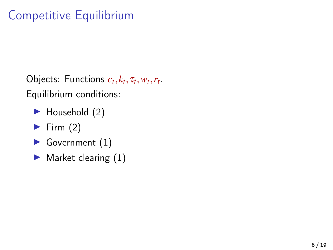# Competitive Equilibrium

Objects: Functions  $c_t, k_t, \tau_t, w_t, r_t$ . Equilibrium conditions:

- $\blacktriangleright$  Household (2)
- $\blacktriangleright$  Firm (2)
- $\blacktriangleright$  Government  $(1)$
- $\blacktriangleright$  Market clearing  $(1)$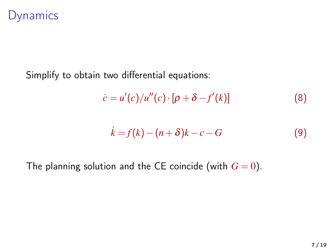#### Dynamics

Simplify to obtain two differential equations:

$$
\dot{c} = u'(c)/u''(c) \cdot [\rho + \delta - f'(k)] \tag{8}
$$

$$
\dot{k} = f(k) - (n+\delta)k - c - G \tag{9}
$$

The planning solution and the CE coincide (with  $G = 0$ ).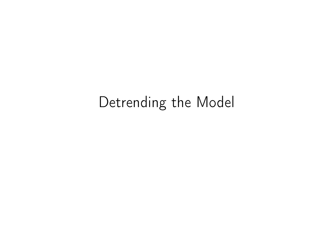# Detrending the Model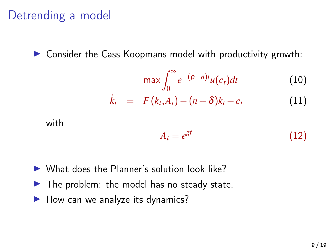## Detrending a model

 $\triangleright$  Consider the Cass Koopmans model with productivity growth:

$$
\max \int_0^\infty e^{-(\rho - n)t} u(c_t) dt \tag{10}
$$

$$
\dot{k}_t = F(k_t, A_t) - (n+\delta)k_t - c_t \qquad (11)
$$

with

$$
A_t = e^{gt} \tag{12}
$$

- $\triangleright$  What does the Planner's solution look like?
- $\blacktriangleright$  The problem: the model has no steady state.
- $\blacktriangleright$  How can we analyze its dynamics?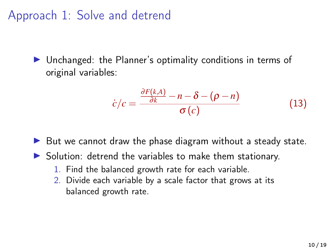Approach 1: Solve and detrend

 $\triangleright$  Unchanged: the Planner's optimality conditions in terms of original variables:

$$
\dot{c}/c = \frac{\frac{\partial F(k,A)}{\partial k} - n - \delta - (\rho - n)}{\sigma(c)} \tag{13}
$$

 $\triangleright$  But we cannot draw the phase diagram without a steady state.

- $\triangleright$  Solution: detrend the variables to make them stationary.
	- 1. Find the balanced growth rate for each variable.
	- 2. Divide each variable by a scale factor that grows at its balanced growth rate.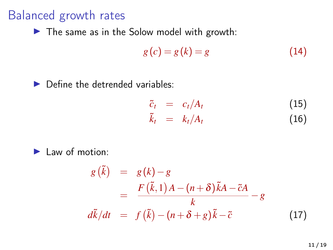#### Balanced growth rates

 $\blacktriangleright$  The same as in the Solow model with growth:

$$
g(c) = g(k) = g \tag{14}
$$

 $\blacktriangleright$  Define the detrended variables:

$$
\begin{array}{rcl}\n\tilde{c}_t &=& c_t/A_t & (15) \\
\tilde{k}_t &=& k_t/A_t & (16)\n\end{array}
$$

 $\blacktriangleright$  Law of motion:

$$
g(\tilde{k}) = g(k) - g
$$
  
= 
$$
\frac{F(\tilde{k}, 1)A - (n + \delta)\tilde{k}A - \tilde{c}A}{k} - g
$$
  

$$
d\tilde{k}/dt = f(\tilde{k}) - (n + \delta + g)\tilde{k} - \tilde{c}
$$
 (17)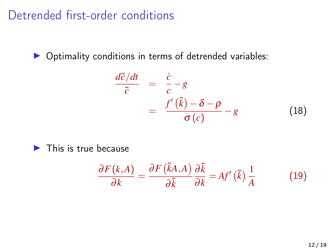Detrended first-order conditions

 $\triangleright$  Optimality conditions in terms of detrended variables:

$$
\frac{d\tilde{c}/dt}{\tilde{c}} = \frac{\dot{c}}{c} - g
$$
\n
$$
= \frac{f'(\tilde{k}) - \delta - \rho}{\sigma(c)} - g
$$
\n(18)

 $\blacktriangleright$  This is true because

$$
\frac{\partial F(k,A)}{\partial k} = \frac{\partial F(\tilde{k}A,A)}{\partial \tilde{k}} \frac{\partial \tilde{k}}{\partial k} = Af'(\tilde{k}) \frac{1}{A}
$$
(19)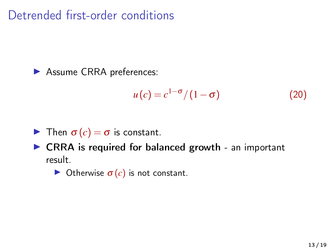Detrended first-order conditions

**Assume CRRA preferences:** 

$$
u(c) = c^{1-\sigma}/(1-\sigma) \tag{20}
$$

**I** Then  $\sigma(c) = \sigma$  is constant.

 $\triangleright$  CRRA is required for balanced growth - an important result.

**In Otherwise**  $\sigma(c)$  **is not constant.**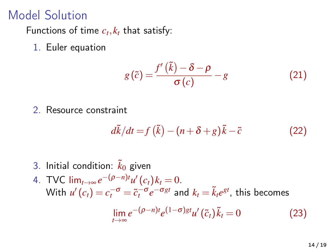## Model Solution

Functions of time  $c_t, k_t$  that satisfy:

1. Euler equation

$$
g(\tilde{c}) = \frac{f'(\tilde{k}) - \delta - \rho}{\sigma(c)} - g \tag{21}
$$

2. Resource constraint

$$
d\tilde{k}/dt = f(\tilde{k}) - (n + \delta + g)\tilde{k} - \tilde{c}
$$
 (22)

- 3. Initial condition:  $\tilde{k}_0$  given
- 4. TVC  $\lim_{t\to\infty} e^{-(\rho n)t} u'(c_t) k_t = 0.$ With  $u'(c_t) = c_t^{-\sigma} = \tilde{c}_t^{-\sigma} e^{-\sigma gt}$  and  $k_t = \tilde{k}_t e^{gt}$ , this becomes

$$
\lim_{t \to \infty} e^{-(\rho - n)t} e^{(1 - \sigma)gt} u'(\tilde{c}_t) \tilde{k}_t = 0 \tag{23}
$$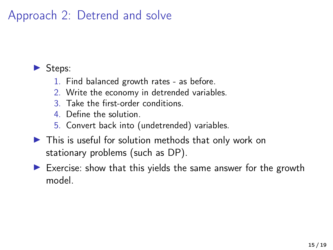## Approach 2: Detrend and solve

#### $\blacktriangleright$  Steps:

- 1. Find balanced growth rates as before.
- 2. Write the economy in detrended variables.
- 3. Take the first-order conditions.
- 4. Define the solution.
- 5. Convert back into (undetrended) variables.
- $\blacktriangleright$  This is useful for solution methods that only work on stationary problems (such as DP).
- $\triangleright$  Exercise: show that this yields the same answer for the growth model.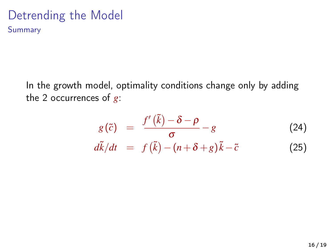#### Detrending the Model Summary

In the growth model, optimality conditions change only by adding the 2 occurrences of *g*:

$$
g(\tilde{c}) = \frac{f'(\tilde{k}) - \delta - \rho}{\sigma} - g \qquad (24)
$$
  

$$
d\tilde{k}/dt = f(\tilde{k}) - (n + \delta + g)\tilde{k} - \tilde{c} \qquad (25)
$$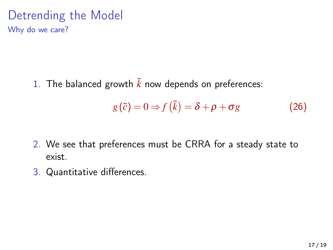Detrending the Model Why do we care?

1. The balanced growth  $\tilde{k}$  now depends on preferences:

$$
g(\tilde{c}) = 0 \Rightarrow f(\tilde{k}) = \delta + \rho + \sigma g \tag{26}
$$

- 2. We see that preferences must be CRRA for a steady state to exist.
- 3. Quantitative differences.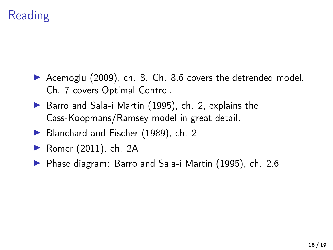# Reading

- ▶ [Acemoglu \(2009\)](#page-18-0), ch. 8. Ch. 8.6 covers the detrended model. Ch. 7 covers Optimal Control.
- $\triangleright$  [Barro and Sala-i Martin \(1995\)](#page-18-1), ch. 2, explains the Cass-Koopmans/Ramsey model in great detail.
- ▶ [Blanchard and Fischer \(1989\)](#page-18-2), ch. 2
- $\blacktriangleright$  [Romer \(2011\)](#page-18-3), ch. 2A
- ▶ Phase diagram: [Barro and Sala-i Martin \(1995\)](#page-18-1), ch. 2.6